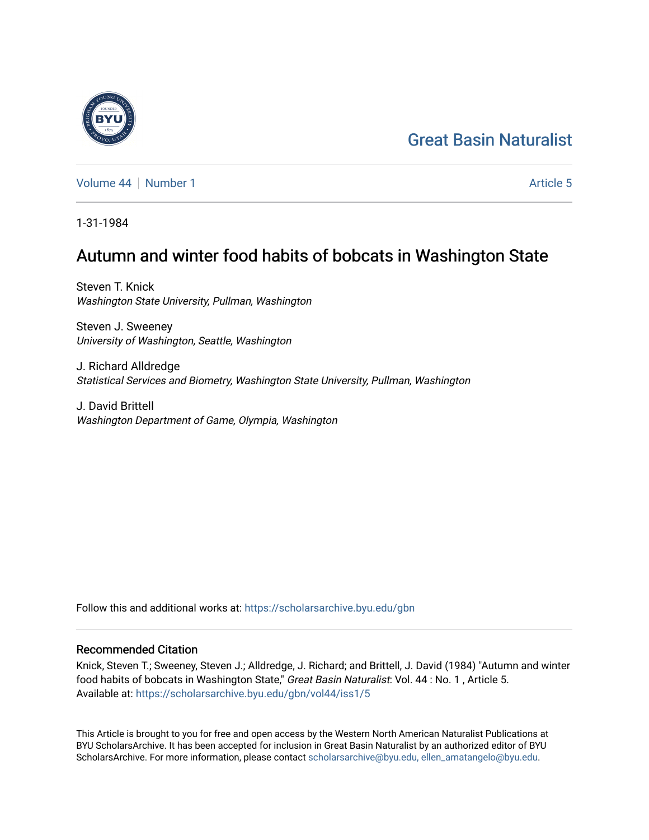# [Great Basin Naturalist](https://scholarsarchive.byu.edu/gbn)

[Volume 44](https://scholarsarchive.byu.edu/gbn/vol44) | [Number 1](https://scholarsarchive.byu.edu/gbn/vol44/iss1) Article 5

1-31-1984

## Autumn and winter food habits of bobcats in Washington State

Steven T. Knick Washington State University, Pullman, Washington

Steven J. Sweeney University of Washington, Seattle, Washington

J. Richard Alldredge Statistical Services and Biometry, Washington State University, Pullman, Washington

J. David Brittell Washington Department of Game, Olympia, Washington

Follow this and additional works at: [https://scholarsarchive.byu.edu/gbn](https://scholarsarchive.byu.edu/gbn?utm_source=scholarsarchive.byu.edu%2Fgbn%2Fvol44%2Fiss1%2F5&utm_medium=PDF&utm_campaign=PDFCoverPages) 

### Recommended Citation

Knick, Steven T.; Sweeney, Steven J.; Alldredge, J. Richard; and Brittell, J. David (1984) "Autumn and winter food habits of bobcats in Washington State," Great Basin Naturalist: Vol. 44 : No. 1 , Article 5. Available at: [https://scholarsarchive.byu.edu/gbn/vol44/iss1/5](https://scholarsarchive.byu.edu/gbn/vol44/iss1/5?utm_source=scholarsarchive.byu.edu%2Fgbn%2Fvol44%2Fiss1%2F5&utm_medium=PDF&utm_campaign=PDFCoverPages)

This Article is brought to you for free and open access by the Western North American Naturalist Publications at BYU ScholarsArchive. It has been accepted for inclusion in Great Basin Naturalist by an authorized editor of BYU ScholarsArchive. For more information, please contact [scholarsarchive@byu.edu, ellen\\_amatangelo@byu.edu.](mailto:scholarsarchive@byu.edu,%20ellen_amatangelo@byu.edu)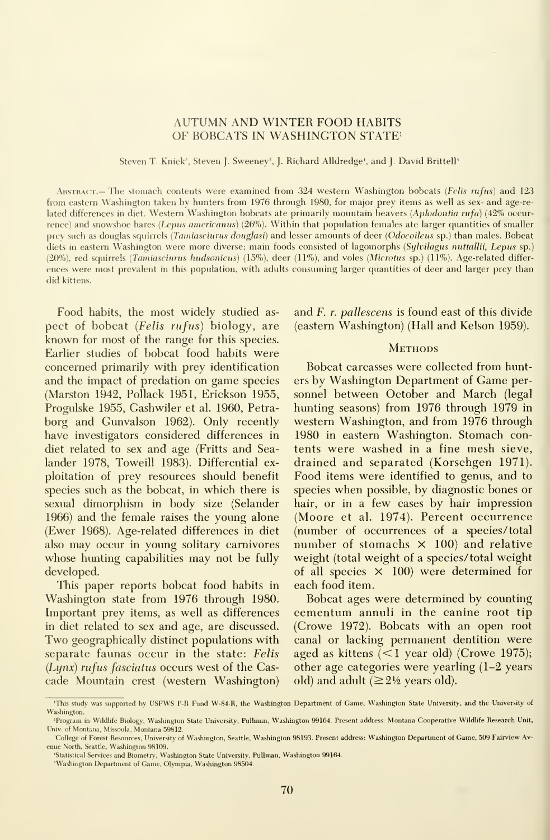#### AUTUMN AND WINTER FOOD HABITS OF BOBCATS IN WASHINGTON STATE'

Steven T. Knick', Steven J. Sweeney', J. Richard Alldredge', and J. David Brittell"

Abstract.— The stomach contents were examined from 324 western Washington bobcats (Felis rufus) and 123 from eastern Washington taken by hunters from 1976 through 1980, for major prey items as well as sex- and age-related differences in diet. Western Washington bobcats ate primarily mountain beavers (Aplodontia rufa) (42% occurrence) and snowshoe hares (Lepus americanus) (26%). Within that population females ate larger quantities of smaller prev such as douglas squirrels (Tamiasciurus douglasi) and lesser amounts of deer (Odocoileus sp.) than males. Bobcat diets in eastern Washington were more diverse; main foods consisted of lagomorphs (Sylvilagus nuttallii, Lepus sp.) (20%), red squirrels (Tamiasciurus hudsonicus) (15%), deer (11%), and voles (Microtus sp.) (11%). Age-related differences were most prevalent in this population, with adults consuming larger quantities of deer and larger prey than did kittens.

Food habits, the most widely studied as pect of bobcat {Felis rufus) biology, are known for most of the range for this species. Earlier studies of bobcat food habits were concerned primarily with prey identification and the impact of predation on game species (Marston 1942, Pollack 1951, Erickson 1955, Progulske 1955, Gashwiler et al. 1960, Petra borg and Gunvalson 1962). Only recently have investigators considered differences in diet related to sex and age (Fritts and Sealander 1978, Toweill 1983). Differential ex ploitation of prey resources should benefit species such as the bobcat, in which there is sexual dimorphism in body size (Selander 1966) and the female raises the young alone (Ewer 1968). Age-related differences in diet also may occur in young solitary carnivores whose hunting capabilities may not be fully developed.

This paper reports bobcat food habits in Washington state from 1976 through 1980. Important prey items, as well as differences in diet related to sex and age, are discussed. Two geographically distinct populations with separate faunas occur in the state: Felis (Lynx) rufus fasciatus occurs west of the Cas cade Mountain crest (western Washington)

and F. r. pallescens is found east of this divide (eastern Washington) (Hall and Kelson 1959).

#### **METHODS**

Bobcat carcasses were collected from hunters by Washington Department of Game per sonnel between October and March (legal hunting seasons) from 1976 through 1979 in western Washington, and from 1976 through 1980 in eastern Washington. Stomach contents were washed in a fine mesh sieve, drained and separated (Korschgen 1971). Food items were identified to genus, and to species when possible, by diagnostic bones or hair, or in a few cases by hair impression (Moore et al. 1974). Percent occurrence (number of occurrences of a species/ total number of stomachs  $\times$  100) and relative weight (total weight of a species/ total weight of all species  $\times$  100) were determined for each food item.

Bobcat ages were determined by covmting cementum annuli in the canine root tip (Crowe 1972). Bobcats with an open root canal or lacking permanent dentition were aged as kittens  $\langle$  <1 year old) (Crowe 1975); other age categories were yearling (1-2 years old) and adult ( $\geq 2\frac{1}{2}$  years old).

<sup>&#</sup>x27;This study was supported by USFWS P-R Fund W-84-R, the Washington Department of Game, Washington State University, and the University of Washington.

Program in WildHfe Biology, Washington State University, Pullman, Washington 99164. Present address: Montana Cooperative Wildlife Research Unit, Univ. of Montana, Missoula, Montana 59812.

<sup>&#</sup>x27;College of Forest Resources, University of Washington, Seattle, Washington 98193. Present address; Washington Department of Game, 509 Fairview Avenue North, Seattle, Washington 98109.

<sup>&#</sup>x27;Statistical Services and Biometry, Washington State University, Pullman, Washington 99164.

<sup>&#</sup>x27;Washington Department of Game, Olympia, Washington 98504.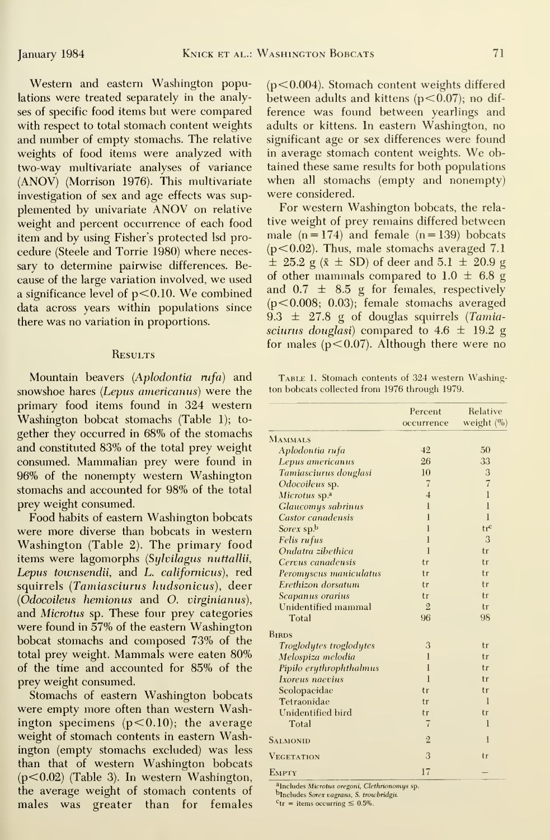Western and eastern Washington populations were treated separately in the analyses of specific food items but were compared with respect to total stomach content weights and number of empty stomachs. The relative weights of food items were analyzed with two-way multivariate analyses of variance (ANOV) (Morrison 1976). This multivariate investigation of sex and age effects was sup plemented by univariate ANOV on relative weight and percent occurrence of each food item and by using Fisher's protected Isd pro cedure (Steele and Torrie 1980) where necessary to determine pairwise differences. Because of the large variation involved, we used <sup>a</sup> significance level of p<0.10. We combined data across years within populations since there was no variation in proportions.

#### **RESULTS**

Mountain beavers (Aplodontia rufa) and snowshoe hares (Lepus americanus) were the primary food items found in 324 western Washington bobcat stomachs (Table 1); to gether they occurred in 68% of the stomachs and constituted 83% of the total prey weight consumed. Mammalian prey were found in 96% of the nonempty western Washington stomachs and accounted for 98% of the total prey weight consumed.

Food habits of eastern Washington bobcats were more diverse than bobcats in western Washington (Table 2). The primary food items were lagomorphs (Sylvilagus nuttallii, Lepus townsendii, and L. californicus), red squirrels (Tamiasciurus hudsonicus), deer {Odocoileus hemionus and O. virginianus), and Microtus sp. These four prey categories were found in 57% of the eastern Washington bobcat stomachs and composed 73% of the total prey weight. Mammals were eaten 80% of the time and accounted for 85% of the prey weight consumed.

Stomachs of eastern Washington bobcats were empty more often than western Washington specimens  $(p<0.10)$ ; the average weight of stomach contents in eastern Washington (empty stomachs excluded) was less than that of western Washington bobcats  $(p<0.02)$  (Table 3). In western Washington,  $\frac{EMPIY}{a_{\text{Includes } Microtus\,oregoni, Clethronomys\,sp.}}$ the average weight of stomach contents of "Includes Merotus organs, S. troubridgii. males was greater than for females  $c_{tr}$  = items occurring  $\leq 0.5$ %.

 $(p<0.004)$ . Stomach content weights differed between adults and kittens  $(p<0.07)$ ; no difference was found between yearlings and adults or kittens. In eastern Washington, no significant age or sex differences were found in average stomach content weights. We obtained these same results for both populations when all stomachs (empty and nonempty) were considered.

For western Washington bobcats, the rela tive weight of prey remains differed between male  $(n=174)$  and female  $(n=139)$  bobcats  $(p<0.02)$ . Thus, male stomachs averaged 7.1  $\pm$  25.2 g ( $\bar{x} \pm$  SD) of deer and 5.1  $\pm$  20.9 g of other mammals compared to  $1.0 \pm 6.8$  g and  $0.7 \pm 8.5$  g for females, respectively (p< 0.008; 0.03); female stomachs averaged  $9.3 \pm 27.8$  g of douglas squirrels (Tamiasciurus douglasi) compared to  $4.6 \pm 19.2$  g for males ( $p<0.07$ ). Although there were no

Table 1. Stomach contents of 324 western Washington bobcats collected from 1976 through 1979.

|                         | Percent<br>occurrence | Relative<br>weight $(\%)$ |
|-------------------------|-----------------------|---------------------------|
| <b>MAMMALS</b>          |                       |                           |
| Aplodontia rufa         | 42                    | 50                        |
| Lepus americanus        | 26                    | 33                        |
| Tamiasciurus douglasi   | 10                    | 3                         |
| Odocoileus sp.          | 7                     | $\overline{7}$            |
| Microtus sp.a           | $\overline{4}$        | $\mathbf{1}$              |
| Glaucomys sabrinus      | $\bf{l}$              | $\mathbf{1}$              |
| Castor canadensis       | 1                     | $\mathbf{1}$              |
| Sorex sp.b              | $\mathbf{I}$          | $tr^c$                    |
| Felis rufus             | $\mathbf{I}$          | 3                         |
| Ondatra zibethica       | $\mathbf{I}$          | tr                        |
| Cervus canadensis       | tr                    | tr                        |
| Peromyscus maniculatus  | tr                    | tr                        |
| Erethizon dorsatum      | tr                    | t r                       |
| Scapanus orarius        | tr                    | tr                        |
| Unidentified mammal     | $\overline{2}$        | tr                        |
| Total                   | 96                    | 98                        |
| <b>BIRDS</b>            |                       |                           |
| Troglodytes troglodytes | 3                     | tr                        |
| Melospiza melodia       | 1                     | tr                        |
| Pipilo erythrophthalmus | $\bf{l}$              | tr                        |
| Ixoreus naevius         | $\mathbf{I}$          | tr                        |
| Scolopacidae            | tr                    | tr                        |
| Tetraonidae             | tr                    | 1                         |
| Unidentified bird       | tr                    | tr                        |
| Total                   | 7                     | $\mathbf{1}$              |
| SALMONID                | $\overline{2}$        | 1                         |
| VEGETATION              | 3                     | tr                        |
| EMPTY                   | 17                    |                           |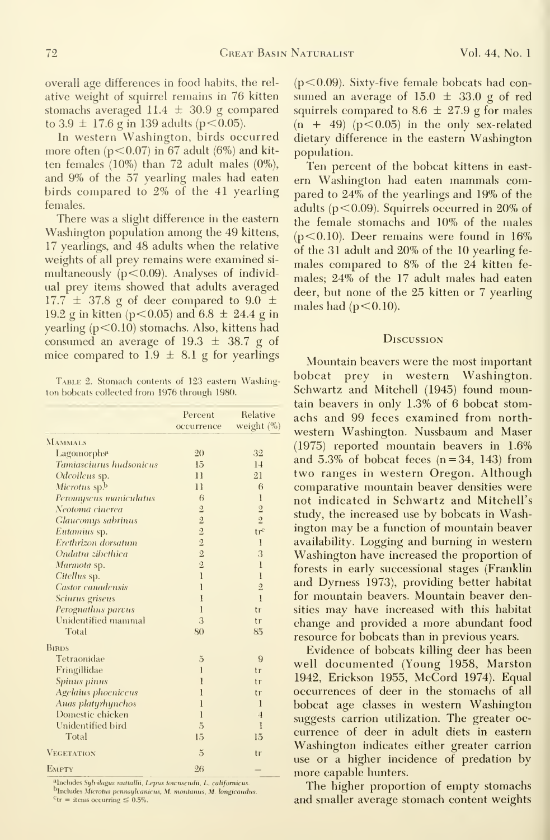overall age differences in food habits, the rel-  $(p<0.09)$ . Sixty-five female bobcats had conto 3.9  $\pm$  17.6 g in 139 adults (p < 0.05).

more often  $(p<0.07)$  in 67 adult (6%) and kit-<br>population. ten females (10%) than 72 adult males (0%), females.

multaneously ( $p<0.09$ ). Analyses of individ- $17.7 \pm 37.8$  g of deer compared to 9.0  $\pm$  males had (p < 0.10). 19.2 g in kitten ( $p < 0.05$ ) and 6.8  $\pm$  24.4 g in yearling  $(p<0.10)$  stomachs. Also, kittens had consumed an average of  $19.3 \pm 38.7$  g of mice compared to  $1.9 \pm 8.1$  g for yearlings

TABLE 2. Stomach contents of 123 eastern Washington bobcats collected from 1976 through 1980.

|                                  | Percent<br>occurrence | Relative<br>weight $(\%)$ |
|----------------------------------|-----------------------|---------------------------|
| <b>MAMMALS</b>                   |                       |                           |
| Lagomorph <sup>\$</sup>          | 20                    | 32                        |
| Tamiasciurus hudsonicus          | 15                    | 14                        |
| Odcoileus sp.                    | $\mathbf{1}$          | 21                        |
| <i>Microtus</i> sp. <sup>b</sup> | 11                    | 6                         |
| Peromyscus maniculatus           | 6                     | 1                         |
| Neotoma cinerea                  | $\overline{2}$        | $\overline{2}$            |
| Glaucomys sabrinus               |                       | $\overline{2}$            |
| Eutamius sp.                     |                       | tr <sup>c</sup>           |
| Erethrizon dorsatum              | $2222$<br>$222$       | $\mathbf{I}$              |
| Ondatra zibethica                |                       | 3                         |
| Marmota sp.                      |                       | $\mathbf{I}$              |
| Citellus sp.                     | $\overline{1}$        | $\mathbf{I}$              |
| Castor canadensis                | $\mathbf{I}$          | $\overline{2}$            |
| Sciurus griseus                  | Ţ                     | $\mathbf{I}$              |
| Perognathus parvus               | 1                     | tr                        |
| Unidentified mammal              | 3                     | tr                        |
| Total                            | 80                    | 85                        |
| <b>B</b> <sub>IRDS</sub>         |                       |                           |
| Tetraonidae                      | 5                     | 9                         |
| Fringillidae                     | $\mathbf{1}$          | tr                        |
| Spinus pinus                     | 1                     | tr                        |
| <b>Agelaius phoeniceus</b>       | 1                     | tr                        |
| Anas platyrhynchos               | 1                     | $\mathbf{1}$              |
| Domestic chicken                 | 1                     | $\overline{4}$            |
| Unidentified bird                | 5                     | I                         |
| Total                            | 15                    | 15                        |
| <b>VEGETATION</b>                | $\overline{5}$        | tr                        |
| <b>EMPTY</b>                     | 26                    |                           |

alneludes Sylvilagus nuttallii, Lepus townsendii, L. californicus. bIncludes Microtus pennsylvanicus, M. montanus, M. longicaudus <sup>C</sup>tr = items occurring  $\leq 0.5\%$ .

ative weight of squirrel remains in 76 kitten sumed an average of 15.0  $\pm$  33.0 g of red stomachs averaged 11.4  $\pm$  30.9 g compared squirrels compared to 8.6  $\pm$  27.9 g for males  $(n + 49)$  ( $p < 0.05$ ) in the only sex-related In western Washington, birds occurred dietary difference in the eastern Washington

Ten percent of the bobcat kittens in eastand 9% of the 57 yearling males had eaten ern Washington had eaten mammals combirds compared to 2% of the 41 yearling pared to  $24\%$  of the yearlings and 19% of the adults ( $p < 0.09$ ). Squirrels occurred in 20% of There was a slight difference in the eastern the female stomachs and 10% of the males Washington population among the 49 kittens,  $(p<0.10)$ . Deer remains were found in 16% 17 yearlings, and 48 adults when the relative  $\frac{d}{dt}$  of the 31 adult and 20% of the 10 yearling feweights of all prey remains were examined similar scheme and to 8% of the 24 kitten femultaneously  $(p<0.09)$ . Analyses of multipless malles, 24% of the 17 adult males had eaten ual prey items showed that adults averaged deer, but none of the 25 kitten or 7 yearling

**DISCUSSION** 

Mountain beavers were the most important bobcat prey in western Washington. Schwartz and Mitchell (1945) found mountain beavers in only 1.3% of 6 bobcat stomachs and 99 feces examined from northwestern Washington. Nussbaum and Maser  $(1975)$  reported mountain beavers in 1.6% and 5.3% of bobcat feces  $(n=34, 143)$  from two ranges in western Oregon. Although comparative mountain beaver densities were not indicated in Schwartz and Mitchell's study, the increased use by bobcats in Washington may be a function of mountain beaver availability. Logging and burning in western Washington have increased the proportion of forests in early successional stages (Franklin and Dyrness 1973), providing better habitat for mountain beavers. Mountain beaver densities may have increased with this habitat change and provided a more abundant food resource for bobcats than in previous years.

Evidence of bobcats killing deer has been well documented (Young 1958, Marston 1942, Erickson 1955, McCord 1974). Equal occurrences of deer in the stomachs of all bobcat age classes in western Washington suggests carrion utilization. The greater occurrence of deer in adult diets in eastern Washington indicates either greater carrion use or a higher incidence of predation by more capable hunters.

The higher proportion of empty stomachs and smaller average stomach content weights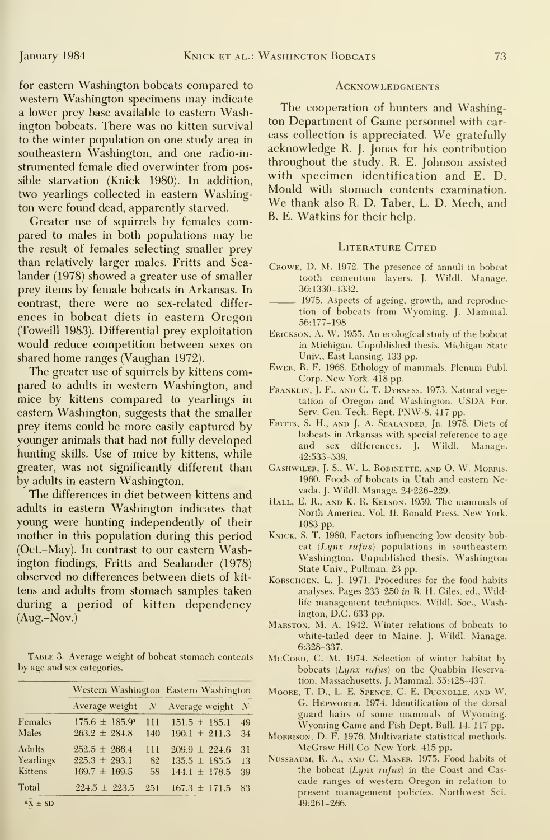for eastern Washington bobcats compared to western Washington specimens may indicate a lower prey base available to eastern Washington bobcats. There was no kitten survival to the winter population on one study area in southeastern Washington, and one radio-in strumented female died overwinter from possible starvation (Knick 1980). In addition, two yearlings collected in eastern Washington were found dead, apparently starved.

Greater use of squirrels by females compared to males in both populations may be the result of females selecting smaller prey than relatively larger males. Fritts and Sealander (1978) showed a greater use of smaller prey items by female bobcats in Arkansas. In contrast, there were no sex-related differ ences in bobcat diets in eastern Oregon (Toweill 1983). Differential prey exploitation would reduce competition between sexes on shared home ranges (Vaughan 1972).

The greater use of squirrels by kittens compared to adults in western Washington, and mice by kittens compared to yearlings in eastern Washington, suggests that the smaller prey items could be more easily captured by younger animals that had not fully developed hunting skills. Use of mice by kittens, while greater, was not significantly different than by adults in eastern Washington.

The differences in diet between kittens and adults in eastern Washington indicates that young were hunting independently of their mother in this population during this period (Oct.-May). In contrast to our eastern Washington findings, Fritts and Sealander (1978) observed no differences between diets of kit tens and adults from stomach samples taken during a period of kitten dependency  $(Aug.-Nov.)$ 

TABLE 3. Average weight of bobcat stomach contents by age and sex categories.

|           | Western Washington Eastern Washington |     |                                     |     |
|-----------|---------------------------------------|-----|-------------------------------------|-----|
|           |                                       |     | Average weight $N$ Average weight N |     |
| Females   | $175.6 \pm 185.9^{\circ}$             | 111 | $151.5 \pm 185.1$                   | 49  |
| Males     | $263.2 \pm 284.8$                     | 140 | $190.1 \pm 211.3$                   | 34  |
| Adults    | $252.5 \pm 266.4$                     | 111 | $209.9 \pm 224.6$                   | 31  |
| Yearlings | $225.3 \pm 293.1$                     | 82  | $135.5 \pm 185.5$                   | -13 |
| Kittens   | $169.7 \pm 169.5$                     | 58  | $144.1 \pm 176.5$                   | 39  |
| Total     | $224.5 \pm 223.5$                     | 251 | $167.3 \pm 171.5$                   | -83 |

#### **ACKNOWLEDGMENTS**

The cooperation of hunters and Washington Department of Game personnel with carcass collection is appreciated. We gratefully acknowledge R. J. Jonas for his contribution throughout the study. R. E. Johnson assisted with specimen identification and E. D. Mould with stomach contents examination. We thank also R. D. Taber, L. D. Mech, and B. E. Watkins for their help.

#### LITERATURE CITED

- Crowe, D. M. 1972. The presence of annuli in bobcat tooth cementum layers. J. Wildl. Manage. .36:1330-1.332.
- 1975. Aspects of ageing, growth, and reproduction of bobcats from Wyoming. J. Mammal. .56:177-198.
- ERICKSON, A. W. 1955. An ecological study of the bobcat in Michigan. Unpublished thesis. Michigan State Univ., East Lansing. 133 pp.
- Ewer, R. F. 1968. Ethology of mammals. Plenum Publ. Corp. New York. <sup>418</sup> pp.
- FRANKLIN, J. F., AND C. T. DYRNESS. 1973. Natural vegetation of Oregon and Washington. USDA For. Serv. Gen. Tech. Kept. PNW-8. 417 pp.
- FRITTS, S. H., AND J. A. SEALANDER, JR. 1978. Diets of bobcats in Arkansas with special reference to age and sex differences. J. Wildl. Manage. 42:533-539.
- GaSHWILER, J. S., W. L. ROBINETTE, AND O. W. MoRRIS. 1960. Foods of bobcats in Utah and eastern Nevada. J. Wildl. Manage. 24:226-229.
- HALL, E. R., AND K. R. KELSON. 1959. The mammals of North America. Vol. II. Ronald Press. New York. 1083 pp.
- KNICK, S. T. 1980. Factors influencing low density bobcat  $(Lynx$  rufus) populations in southeastern Washington. Unpublished thesis. Washington State Univ., Pullman. 23 pp.
- KORSCHGEN, L. J. 1971. Procedures for the food habits analyses. Pages 233-250 in R. H. Giles, ed.. Wildlife management techniques. Wildl. Soc, Washington, D.C. 633 pp.
- Marston, M. a. 1942. Winter relations of bobcats to white-tailed deer in Maine. J. Wildl. Manage. 6:328-337.
- McCord, C. M. 1974. Selection of winter habitat by bobcats (Lynx rufus) on the Quabbin Reservation, Massachusetts. J. Mammal. 55:428-437.
- MOORE, T. D., L. E. SPENCE, C. E. DUGNOLLE, AND W. G. Hepworth. 1974. Identification of the dorsal guard hairs of some mammals of Wyoming. Wyoming Game and Fish Dept. Bull. 14. <sup>117</sup> pp.
- MORRISON, D. F. 1976. Multivariate statistical methods. McGraw Hill Co. New York. <sup>415</sup> pp.
- NUSSBAUM, R. A., AND C. MASER. 1975. Food habits of the bobcat  $(Lynx \nleftrightarrow nfus)$  in the Coast and Cascade ranges of western Oregon in relation to present management policies. Northwest Sci. 49:261-266.